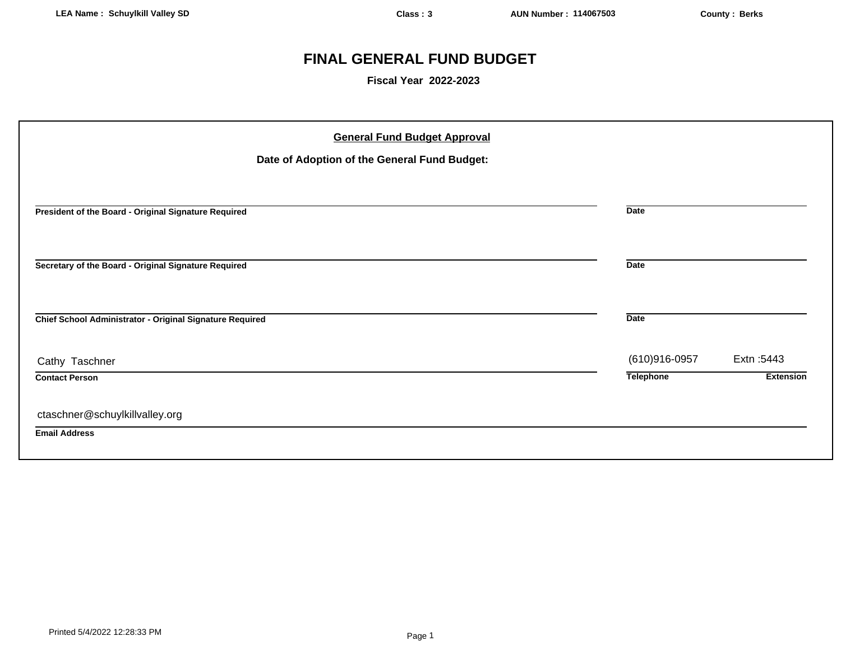# **FINAL GENERAL FUND BUDGET**

**Fiscal Year 2022-2023**

| <b>General Fund Budget Approval</b><br>Date of Adoption of the General Fund Budget: |                  |                  |
|-------------------------------------------------------------------------------------|------------------|------------------|
| President of the Board - Original Signature Required                                | <b>Date</b>      |                  |
| Secretary of the Board - Original Signature Required                                | <b>Date</b>      |                  |
| Chief School Administrator - Original Signature Required                            | <b>Date</b>      |                  |
| Cathy Taschner                                                                      | (610)916-0957    | Extn: 5443       |
| <b>Contact Person</b>                                                               | <b>Telephone</b> | <b>Extension</b> |
| ctaschner@schuylkillvalley.org                                                      |                  |                  |
| <b>Email Address</b>                                                                |                  |                  |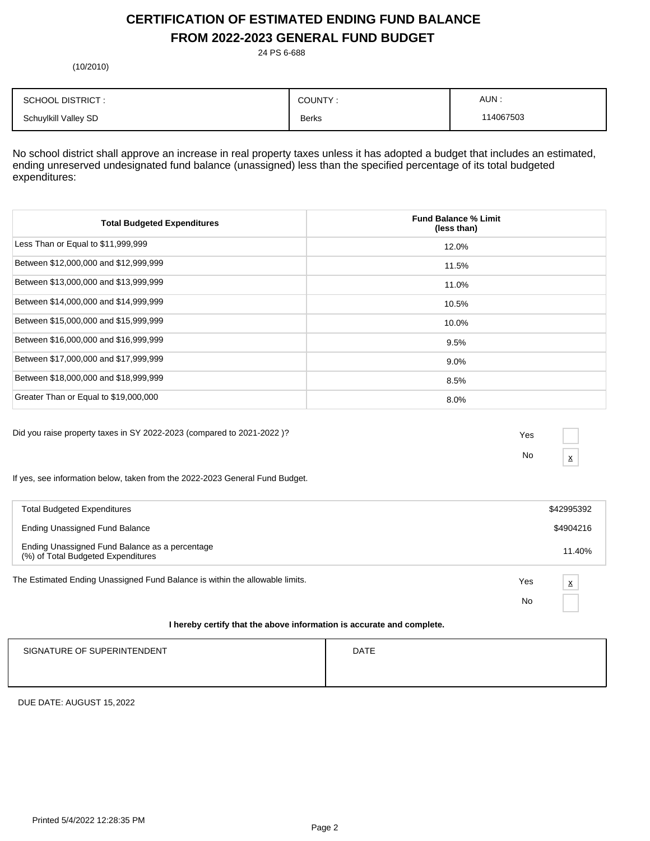# **CERTIFICATION OF ESTIMATED ENDING FUND BALANCE FROM 2022-2023 GENERAL FUND BUDGET**

24 PS 6-688

(10/2010)

| <b>SCHOOL DISTRICT:</b> | COUNTY:      | AUN:     |
|-------------------------|--------------|----------|
| Schuylkill Valley SD    | <b>Berks</b> | 14067503 |

No school district shall approve an increase in real property taxes unless it has adopted a budget that includes an estimated, ending unreserved undesignated fund balance (unassigned) less than the specified percentage of its total budgeted expenditures:

| <b>Total Budgeted Expenditures</b>    | <b>Fund Balance % Limit</b><br>(less than) |
|---------------------------------------|--------------------------------------------|
| Less Than or Equal to \$11,999,999    | 12.0%                                      |
| Between \$12,000,000 and \$12,999,999 | 11.5%                                      |
| Between \$13,000,000 and \$13,999,999 | 11.0%                                      |
| Between \$14,000,000 and \$14,999,999 | 10.5%                                      |
| Between \$15,000,000 and \$15,999,999 | 10.0%                                      |
| Between \$16,000,000 and \$16,999,999 | 9.5%                                       |
| Between \$17,000,000 and \$17,999,999 | $9.0\%$                                    |
| Between \$18,000,000 and \$18,999,999 | 8.5%                                       |
| Greater Than or Equal to \$19,000,000 | 8.0%                                       |

Did you raise property taxes in SY 2022-2023 (compared to 2021-2022 )? Yes

No  $\frac{\mathbf{x}}{}$ 

If yes, see information below, taken from the 2022-2023 General Fund Budget.

| <b>Total Budgeted Expenditures</b>                                                   |     | \$42995392 |
|--------------------------------------------------------------------------------------|-----|------------|
| <b>Ending Unassigned Fund Balance</b>                                                |     | \$4904216  |
| Ending Unassigned Fund Balance as a percentage<br>(%) of Total Budgeted Expenditures |     | 11.40%     |
| The Estimated Ending Unassigned Fund Balance is within the allowable limits.         | Yes | X          |
|                                                                                      | No  |            |
|                                                                                      |     |            |

### **I hereby certify that the above information is accurate and complete.**

| SIGNATURE OF SUPERINTENDENT | <b>DATE</b> |
|-----------------------------|-------------|
|                             |             |
|                             |             |

DUE DATE: AUGUST 15,2022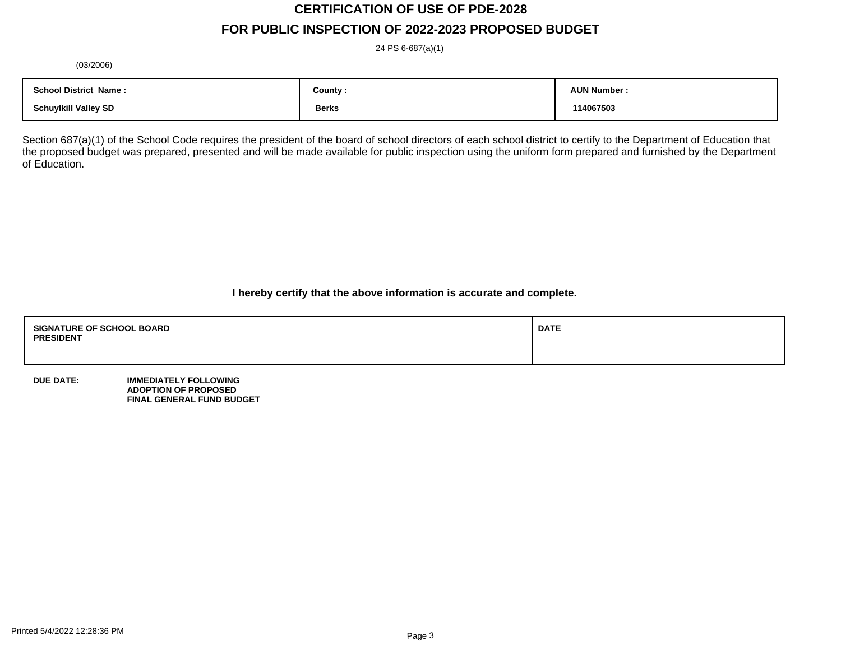# **CERTIFICATION OF USE OF PDE-2028**

## **FOR PUBLIC INSPECTION OF 2022-2023 PROPOSED BUDGET**

24 PS 6-687(a)(1)

(03/2006)

| <b>School District Name:</b> | County :     | <b>AUN Number</b> |
|------------------------------|--------------|-------------------|
| <b>Schuylkill Valley SD</b>  | <b>Berks</b> | 114067503         |

Section 687(a)(1) of the School Code requires the president of the board of school directors of each school district to certify to the Department of Education that the proposed budget was prepared, presented and will be made available for public inspection using the uniform form prepared and furnished by the Department of Education.

**I hereby certify that the above information is accurate and complete.**

| <b>SIGNATURE OF SCHOOL BOARD</b><br><b>PRESIDENT</b> | <b>DATE</b> |
|------------------------------------------------------|-------------|
|                                                      |             |

**DUE DATE: IMMEDIATELY FOLLOWING ADOPTION OF PROPOSED FINAL GENERAL FUND BUDGET**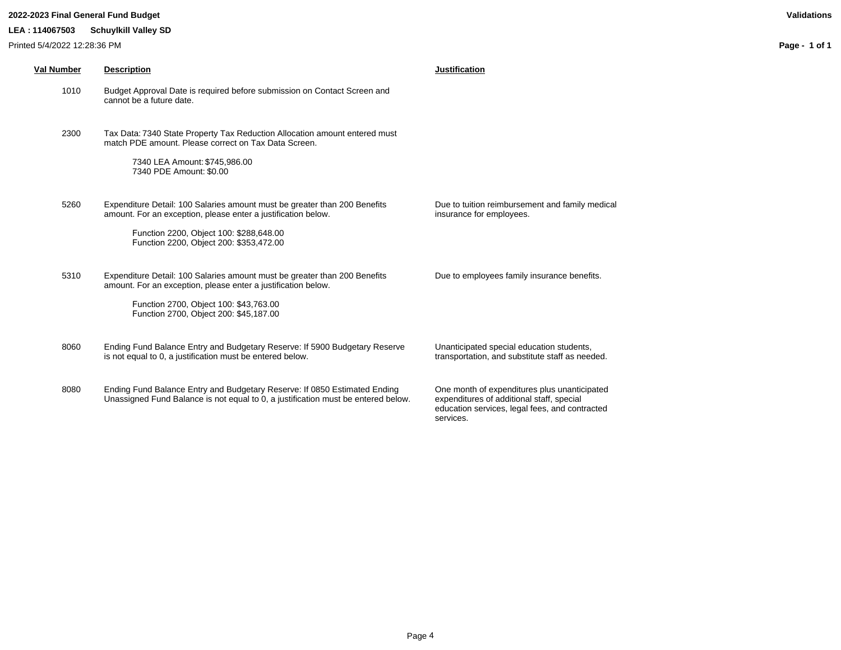### **2022-2023 Final General Fund Budget Validations**

### **LEA : 114067503 Schuylkill Valley SD**

| <b>Val Number</b> | <b>Description</b>                                                                                                                                                                                                               | <b>Justification</b>                                                                                                                                     |
|-------------------|----------------------------------------------------------------------------------------------------------------------------------------------------------------------------------------------------------------------------------|----------------------------------------------------------------------------------------------------------------------------------------------------------|
| 1010              | Budget Approval Date is required before submission on Contact Screen and<br>cannot be a future date.                                                                                                                             |                                                                                                                                                          |
| 2300              | Tax Data: 7340 State Property Tax Reduction Allocation amount entered must<br>match PDE amount. Please correct on Tax Data Screen.<br>7340 LEA Amount: \$745,986.00<br>7340 PDE Amount: \$0.00                                   |                                                                                                                                                          |
| 5260              | Expenditure Detail: 100 Salaries amount must be greater than 200 Benefits<br>amount. For an exception, please enter a justification below.<br>Function 2200, Object 100: \$288,648.00<br>Function 2200, Object 200: \$353,472.00 | Due to tuition reimbursement and family medical<br>insurance for employees.                                                                              |
| 5310              | Expenditure Detail: 100 Salaries amount must be greater than 200 Benefits<br>amount. For an exception, please enter a justification below.<br>Function 2700, Object 100: \$43,763.00<br>Function 2700, Object 200: \$45,187.00   | Due to employees family insurance benefits.                                                                                                              |
| 8060              | Ending Fund Balance Entry and Budgetary Reserve: If 5900 Budgetary Reserve<br>is not equal to 0, a justification must be entered below.                                                                                          | Unanticipated special education students,<br>transportation, and substitute staff as needed.                                                             |
| 8080              | Ending Fund Balance Entry and Budgetary Reserve: If 0850 Estimated Ending<br>Unassigned Fund Balance is not equal to 0, a justification must be entered below.                                                                   | One month of expenditures plus unanticipated<br>expenditures of additional staff, special<br>education services, legal fees, and contracted<br>services. |

**Page - 1 of 1**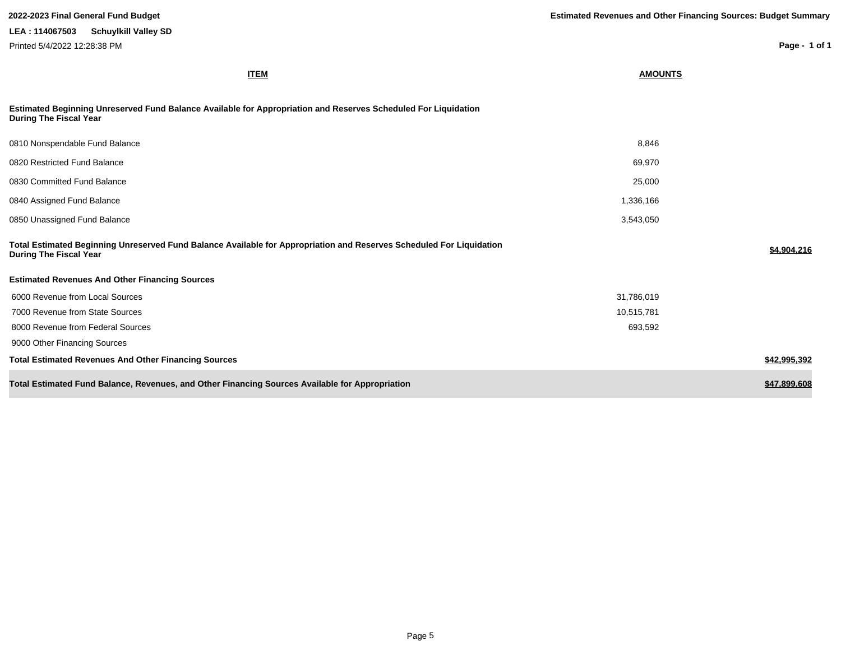**Page - 1 of 1**

**ITEM AMOUNTS**

### **Estimated Beginning Unreserved Fund Balance Available for Appropriation and Reserves Scheduled For Liquidation During The Fiscal Year**

| 0810 Nonspendable Fund Balance                                                                                                                        | 8,846      |              |
|-------------------------------------------------------------------------------------------------------------------------------------------------------|------------|--------------|
| 0820 Restricted Fund Balance                                                                                                                          | 69,970     |              |
| 0830 Committed Fund Balance                                                                                                                           | 25,000     |              |
| 0840 Assigned Fund Balance                                                                                                                            | 1,336,166  |              |
| 0850 Unassigned Fund Balance                                                                                                                          | 3,543,050  |              |
| Total Estimated Beginning Unreserved Fund Balance Available for Appropriation and Reserves Scheduled For Liquidation<br><b>During The Fiscal Year</b> |            | \$4,904,216  |
| <b>Estimated Revenues And Other Financing Sources</b>                                                                                                 |            |              |
| 6000 Revenue from Local Sources                                                                                                                       | 31,786,019 |              |
| 7000 Revenue from State Sources                                                                                                                       | 10,515,781 |              |
| 8000 Revenue from Federal Sources                                                                                                                     | 693,592    |              |
| 9000 Other Financing Sources                                                                                                                          |            |              |
| <b>Total Estimated Revenues And Other Financing Sources</b>                                                                                           |            | \$42,995,392 |
| Total Estimated Fund Balance, Revenues, and Other Financing Sources Available for Appropriation                                                       |            | \$47,899,608 |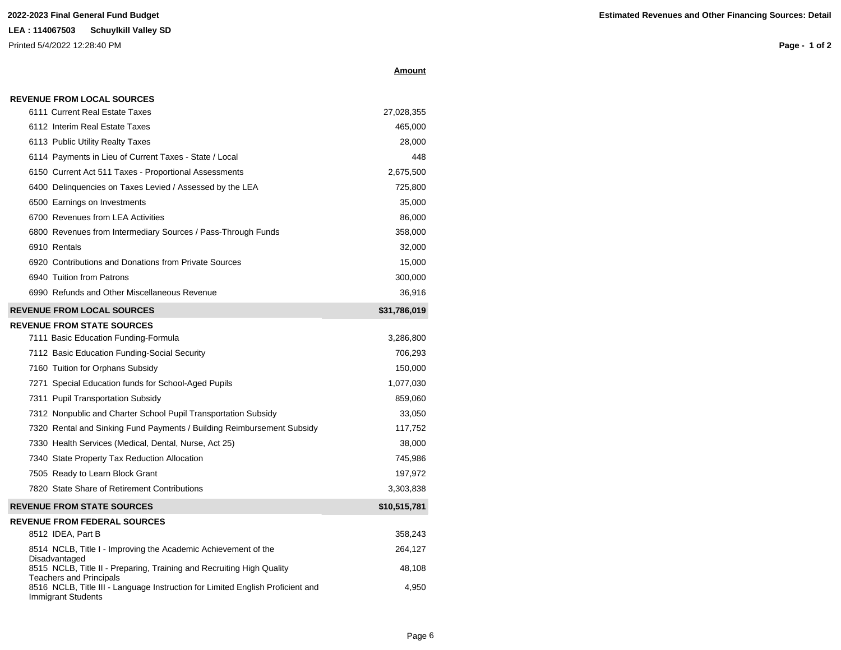**REVENUE FROM LOCAL SOURCES**

Printed 5/4/2022 12:28:40 PM

Immigrant Students

**Page - 1 of 2**

|--|

| 6112 Interim Real Estate Taxes                                                                          | 465,000      |
|---------------------------------------------------------------------------------------------------------|--------------|
| 6113 Public Utility Realty Taxes                                                                        | 28,000       |
| 6114 Payments in Lieu of Current Taxes - State / Local                                                  | 448          |
| 6150 Current Act 511 Taxes - Proportional Assessments                                                   | 2,675,500    |
| 6400 Delinquencies on Taxes Levied / Assessed by the LEA                                                | 725,800      |
| 6500 Earnings on Investments                                                                            | 35,000       |
| 6700 Revenues from LEA Activities                                                                       | 86,000       |
| 6800 Revenues from Intermediary Sources / Pass-Through Funds                                            | 358,000      |
| 6910 Rentals                                                                                            | 32,000       |
| 6920 Contributions and Donations from Private Sources                                                   | 15,000       |
| 6940 Tuition from Patrons                                                                               | 300,000      |
| 6990 Refunds and Other Miscellaneous Revenue                                                            | 36,916       |
| <b>REVENUE FROM LOCAL SOURCES</b>                                                                       | \$31,786,019 |
| <b>REVENUE FROM STATE SOURCES</b>                                                                       |              |
| 7111 Basic Education Funding-Formula                                                                    | 3,286,800    |
| 7112 Basic Education Funding-Social Security                                                            | 706,293      |
| 7160 Tuition for Orphans Subsidy                                                                        | 150,000      |
| 7271 Special Education funds for School-Aged Pupils                                                     | 1,077,030    |
| 7311 Pupil Transportation Subsidy                                                                       | 859,060      |
| 7312 Nonpublic and Charter School Pupil Transportation Subsidy                                          | 33,050       |
| 7320 Rental and Sinking Fund Payments / Building Reimbursement Subsidy                                  | 117,752      |
| 7330 Health Services (Medical, Dental, Nurse, Act 25)                                                   | 38,000       |
| 7340 State Property Tax Reduction Allocation                                                            | 745,986      |
| 7505 Ready to Learn Block Grant                                                                         | 197,972      |
| 7820 State Share of Retirement Contributions                                                            | 3,303,838    |
| <b>REVENUE FROM STATE SOURCES</b>                                                                       | \$10,515,781 |
| <b>REVENUE FROM FEDERAL SOURCES</b>                                                                     |              |
| 8512 IDEA, Part B                                                                                       | 358,243      |
| 8514 NCLB, Title I - Improving the Academic Achievement of the<br>Disadvantaged                         | 264,127      |
| 8515 NCLB, Title II - Preparing, Training and Recruiting High Quality<br><b>Teachers and Principals</b> | 48,108       |
| 8516 NCLB, Title III - Language Instruction for Limited English Proficient and                          | 4,950        |

6111 Current Real Estate Taxes 27,028,355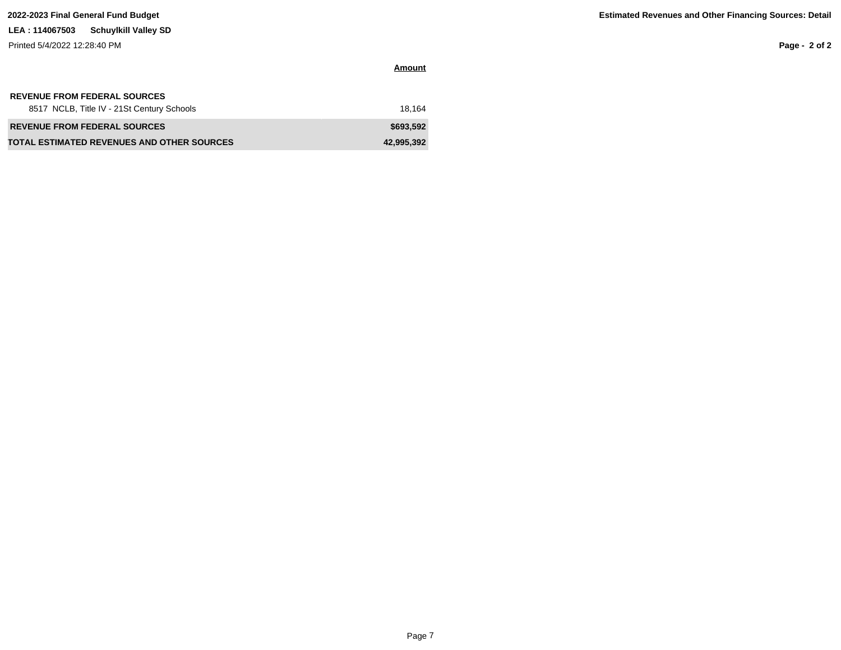Printed 5/4/2022 12:28:40 PM

**Page - 2 of 2**

| <b>REVENUE FROM FEDERAL SOURCES</b>               |            |
|---------------------------------------------------|------------|
| 8517 NCLB, Title IV - 21St Century Schools        | 18.164     |
| <b>REVENUE FROM FEDERAL SOURCES</b>               | \$693.592  |
| <b>TOTAL ESTIMATED REVENUES AND OTHER SOURCES</b> | 42,995,392 |

**Amount**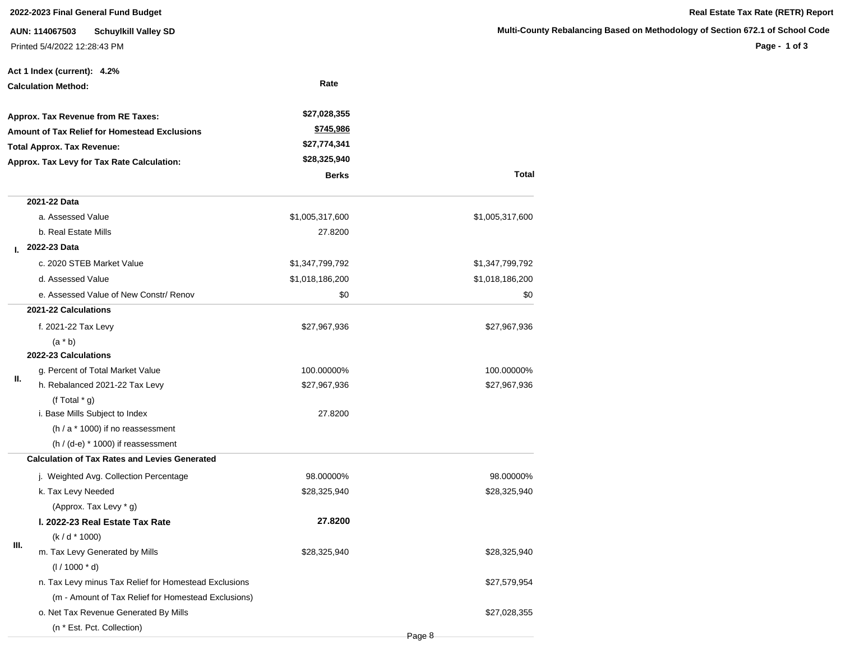### **2022-2023 Final General Fund Budget Real Estate Tax Rate (RETR) Report**

**AUN: 114067503 Schuylkill Valley SD** Printed 5/4/2022 12:28:43 PM

**Page - 1 of 3**

|                                            | Act 1 Index (current): 4.2%                           |                 |                 |
|--------------------------------------------|-------------------------------------------------------|-----------------|-----------------|
| <b>Calculation Method:</b>                 |                                                       | Rate            |                 |
|                                            | Approx. Tax Revenue from RE Taxes:                    | \$27,028,355    |                 |
|                                            | Amount of Tax Relief for Homestead Exclusions         | \$745,986       |                 |
|                                            | <b>Total Approx. Tax Revenue:</b>                     | \$27,774,341    |                 |
| Approx. Tax Levy for Tax Rate Calculation: |                                                       | \$28,325,940    |                 |
|                                            |                                                       | <b>Berks</b>    | <b>Total</b>    |
|                                            | 2021-22 Data                                          |                 |                 |
|                                            | a. Assessed Value                                     | \$1,005,317,600 | \$1,005,317,600 |
|                                            | b. Real Estate Mills                                  | 27.8200         |                 |
| L.                                         | 2022-23 Data                                          |                 |                 |
|                                            | c. 2020 STEB Market Value                             | \$1,347,799,792 | \$1,347,799,792 |
|                                            | d. Assessed Value                                     | \$1,018,186,200 | \$1,018,186,200 |
|                                            | e. Assessed Value of New Constr/ Renov                | \$0             | \$0             |
|                                            | 2021-22 Calculations                                  |                 |                 |
|                                            | f. 2021-22 Tax Levy                                   | \$27,967,936    | \$27,967,936    |
|                                            | $(a * b)$                                             |                 |                 |
|                                            | 2022-23 Calculations                                  |                 |                 |
| Ш.                                         | g. Percent of Total Market Value                      | 100.00000%      | 100.00000%      |
|                                            | h. Rebalanced 2021-22 Tax Levy                        | \$27,967,936    | \$27,967,936    |
|                                            | (f Total $*$ g)                                       |                 |                 |
|                                            | i. Base Mills Subject to Index                        | 27.8200         |                 |
|                                            | (h / a * 1000) if no reassessment                     |                 |                 |
|                                            | $(h / (d-e) * 1000)$ if reassessment                  |                 |                 |
|                                            | <b>Calculation of Tax Rates and Levies Generated</b>  |                 |                 |
|                                            | j. Weighted Avg. Collection Percentage                | 98.00000%       | 98.00000%       |
|                                            | k. Tax Levy Needed                                    | \$28,325,940    | \$28,325,940    |
|                                            | (Approx. Tax Levy * g)                                |                 |                 |
|                                            | I. 2022-23 Real Estate Tax Rate                       | 27.8200         |                 |
| Ш.                                         | $(k/d * 1000)$                                        |                 |                 |
|                                            | m. Tax Levy Generated by Mills                        | \$28,325,940    | \$28,325,940    |
|                                            | $(1/1000 * d)$                                        |                 |                 |
|                                            | n. Tax Levy minus Tax Relief for Homestead Exclusions |                 | \$27,579,954    |
|                                            | (m - Amount of Tax Relief for Homestead Exclusions)   |                 |                 |
|                                            | o. Net Tax Revenue Generated By Mills                 |                 | \$27,028,355    |
|                                            | (n * Est. Pct. Collection)                            |                 |                 |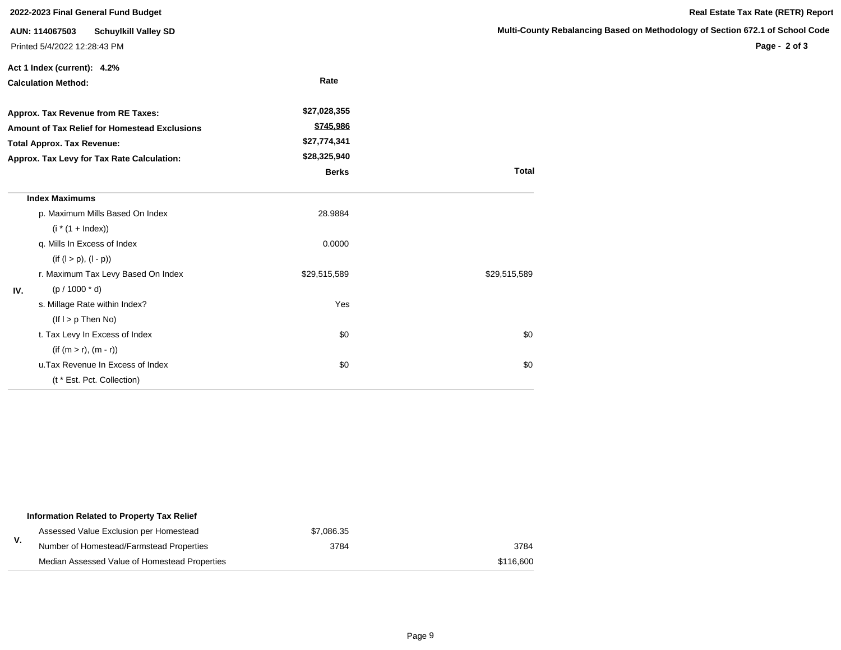| 2022-2023 Final General Fund Budget                  |                                                                               |              |                            |  |  |  |
|------------------------------------------------------|-------------------------------------------------------------------------------|--------------|----------------------------|--|--|--|
|                                                      | AUN: 114067503<br><b>Schuylkill Valley SD</b><br>Printed 5/4/2022 12:28:43 PM |              | <b>Multi-County Rebala</b> |  |  |  |
|                                                      | Act 1 Index (current): 4.2%                                                   |              |                            |  |  |  |
| <b>Calculation Method:</b>                           |                                                                               | Rate         |                            |  |  |  |
| Approx. Tax Revenue from RE Taxes:                   |                                                                               | \$27,028,355 |                            |  |  |  |
| <b>Amount of Tax Relief for Homestead Exclusions</b> |                                                                               | \$745,986    |                            |  |  |  |
|                                                      | <b>Total Approx. Tax Revenue:</b>                                             | \$27,774,341 |                            |  |  |  |
| Approx. Tax Levy for Tax Rate Calculation:           |                                                                               | \$28,325,940 |                            |  |  |  |
|                                                      |                                                                               | <b>Berks</b> | <b>Total</b>               |  |  |  |
|                                                      | <b>Index Maximums</b>                                                         |              |                            |  |  |  |
|                                                      | p. Maximum Mills Based On Index                                               | 28.9884      |                            |  |  |  |
|                                                      | $(i * (1 + Index))$                                                           |              |                            |  |  |  |
|                                                      | q. Mills In Excess of Index                                                   | 0.0000       |                            |  |  |  |
|                                                      | $(if (l > p), (l - p))$                                                       |              |                            |  |  |  |
|                                                      | r. Maximum Tax Levy Based On Index                                            | \$29,515,589 | \$29,515,589               |  |  |  |
| IV.                                                  | $(p / 1000 * d)$                                                              |              |                            |  |  |  |
|                                                      | s. Millage Rate within Index?                                                 | Yes          |                            |  |  |  |
|                                                      | $($ lf $I > p$ Then No $)$                                                    |              |                            |  |  |  |
|                                                      | t. Tax Levy In Excess of Index                                                | \$0          | \$0                        |  |  |  |
|                                                      | $(if (m > r), (m - r))$                                                       |              |                            |  |  |  |
|                                                      | u. Tax Revenue In Excess of Index                                             | \$0          | \$0                        |  |  |  |
|                                                      | (t * Est. Pct. Collection)                                                    |              |                            |  |  |  |

|    | Information Related to Property Tax Relief    |            |           |
|----|-----------------------------------------------|------------|-----------|
|    | Assessed Value Exclusion per Homestead        | \$7.086.35 |           |
| v. | Number of Homestead/Farmstead Properties      | 3784       | 3784      |
|    | Median Assessed Value of Homestead Properties |            | \$116,600 |

**Real Estate Tax Rate (RETR) Report**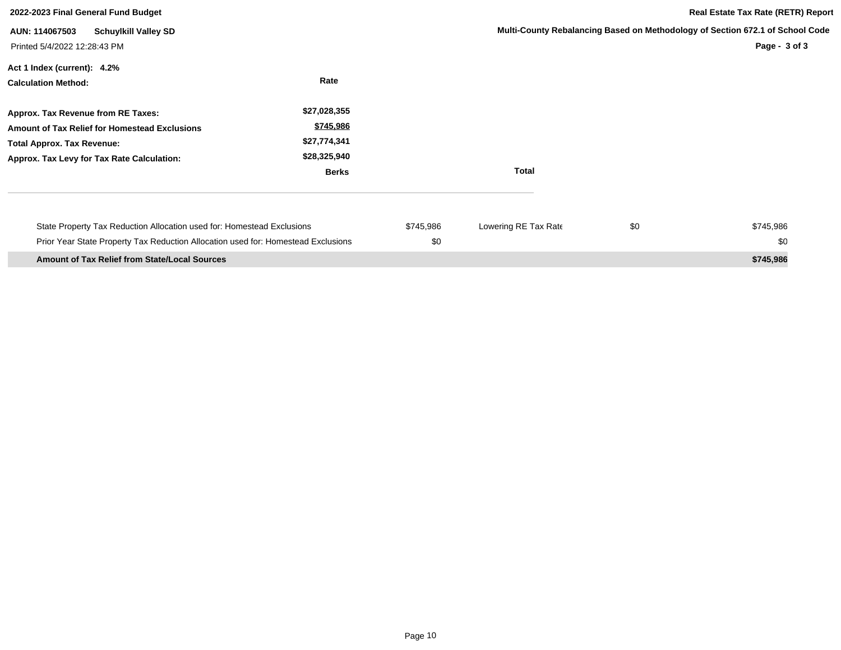| 2022-2023 Final General Fund Budget                                                                                                                                    |                                                                           | <b>Real Estate Tax Rate (RETR) Report</b> |                      |     |                                                                                                |
|------------------------------------------------------------------------------------------------------------------------------------------------------------------------|---------------------------------------------------------------------------|-------------------------------------------|----------------------|-----|------------------------------------------------------------------------------------------------|
| <b>Schuylkill Valley SD</b><br>AUN: 114067503<br>Printed 5/4/2022 12:28:43 PM                                                                                          |                                                                           |                                           |                      |     | Multi-County Rebalancing Based on Methodology of Section 672.1 of School Code<br>Page - 3 of 3 |
| Act 1 Index (current): 4.2%<br><b>Calculation Method:</b>                                                                                                              | Rate                                                                      |                                           |                      |     |                                                                                                |
| Approx. Tax Revenue from RE Taxes:<br>Amount of Tax Relief for Homestead Exclusions<br><b>Total Approx. Tax Revenue:</b><br>Approx. Tax Levy for Tax Rate Calculation: | \$27,028,355<br>\$745,986<br>\$27,774,341<br>\$28,325,940<br><b>Berks</b> |                                           | <b>Total</b>         |     |                                                                                                |
| State Property Tax Reduction Allocation used for: Homestead Exclusions<br>Prior Year State Property Tax Reduction Allocation used for: Homestead Exclusions            |                                                                           | \$745,986<br>\$0                          | Lowering RE Tax Rate | \$0 | \$745,986<br>\$0                                                                               |
| <b>Amount of Tax Relief from State/Local Sources</b>                                                                                                                   |                                                                           |                                           |                      |     | \$745,986                                                                                      |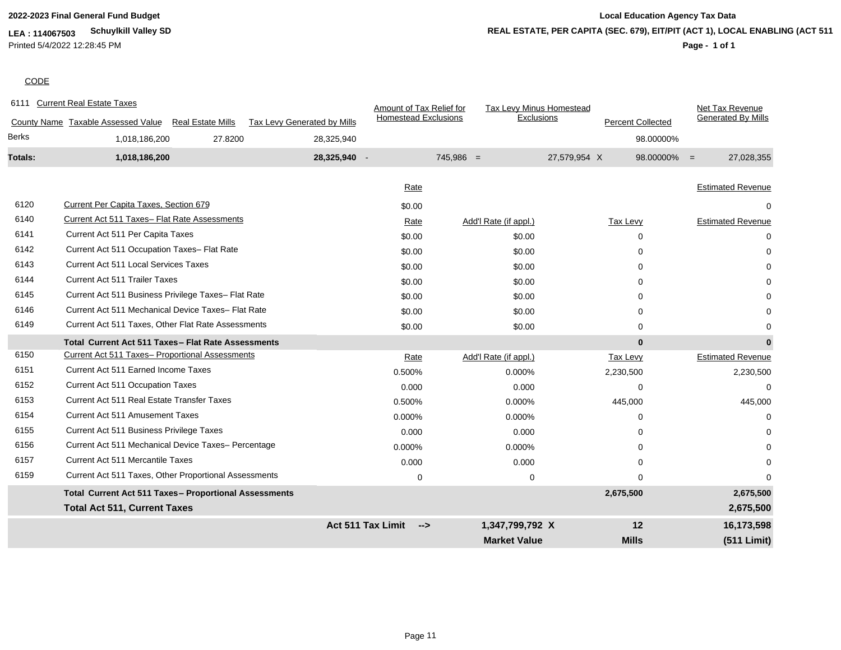**LEA : 114067503 Schuylkill Valley SD** Printed 5/4/2022 12:28:45 PM

# **2022-2023 Final General Fund Budget Local Education Agency Tax Data REAL ESTATE, PER CAPITA (SEC. 679), EIT/PIT (ACT 1), LOCAL ENABLING (ACT 511)**

### **Page - 1 of 1**

### **CODE**

| 6111         | <b>Current Real Estate Taxes</b>                               |                             | Amount of Tax Relief for    | Tax Levy Minus Homestead |                          | Net Tax Revenue              |
|--------------|----------------------------------------------------------------|-----------------------------|-----------------------------|--------------------------|--------------------------|------------------------------|
|              | County Name Taxable Assessed Value<br><b>Real Estate Mills</b> | Tax Levy Generated by Mills | <b>Homestead Exclusions</b> | Exclusions               | <b>Percent Collected</b> | <b>Generated By Mills</b>    |
| <b>Berks</b> | 1,018,186,200<br>27.8200                                       | 28,325,940                  |                             |                          |                          | 98.00000%                    |
| Totals:      | 1,018,186,200                                                  | 28,325,940 -                |                             | $745,986 =$              | 27,579,954 X             | 27,028,355<br>$98.00000\% =$ |
|              |                                                                |                             |                             |                          |                          |                              |
|              |                                                                |                             | Rate                        |                          |                          | <b>Estimated Revenue</b>     |
| 6120         | Current Per Capita Taxes, Section 679                          |                             | \$0.00                      |                          |                          | 0                            |
| 6140         | Current Act 511 Taxes- Flat Rate Assessments                   |                             | Rate                        | Add'l Rate (if appl.)    | Tax Levy                 | <b>Estimated Revenue</b>     |
| 6141         | Current Act 511 Per Capita Taxes                               |                             | \$0.00                      | \$0.00                   | 0                        | 0                            |
| 6142         | Current Act 511 Occupation Taxes- Flat Rate                    |                             | \$0.00                      | \$0.00                   | $\Omega$                 | 0                            |
| 6143         | <b>Current Act 511 Local Services Taxes</b>                    |                             | \$0.00                      | \$0.00                   | 0                        |                              |
| 6144         | <b>Current Act 511 Trailer Taxes</b>                           |                             | \$0.00                      | \$0.00                   | $\Omega$                 |                              |
| 6145         | Current Act 511 Business Privilege Taxes- Flat Rate            |                             | \$0.00                      | \$0.00                   | 0                        |                              |
| 6146         | Current Act 511 Mechanical Device Taxes- Flat Rate             |                             | \$0.00                      | \$0.00                   | 0                        |                              |
| 6149         | Current Act 511 Taxes, Other Flat Rate Assessments             |                             | \$0.00                      | \$0.00                   | $\Omega$                 | 0                            |
|              | Total Current Act 511 Taxes - Flat Rate Assessments            |                             |                             |                          | $\bf{0}$                 | $\bf{0}$                     |
| 6150         | Current Act 511 Taxes- Proportional Assessments                |                             | Rate                        | Add'l Rate (if appl.)    | Tax Levy                 | <b>Estimated Revenue</b>     |
| 6151         | Current Act 511 Earned Income Taxes                            |                             | 0.500%                      | 0.000%                   | 2,230,500                | 2,230,500                    |
| 6152         | <b>Current Act 511 Occupation Taxes</b>                        |                             | 0.000                       | 0.000                    | 0                        | $\Omega$                     |
| 6153         | <b>Current Act 511 Real Estate Transfer Taxes</b>              |                             | 0.500%                      | 0.000%                   | 445,000                  | 445,000                      |
| 6154         | <b>Current Act 511 Amusement Taxes</b>                         |                             | 0.000%                      | 0.000%                   | $\Omega$                 | $\Omega$                     |
| 6155         | Current Act 511 Business Privilege Taxes                       |                             | 0.000                       | 0.000                    | $\Omega$                 |                              |
| 6156         | Current Act 511 Mechanical Device Taxes- Percentage            |                             | 0.000%                      | 0.000%                   | $\Omega$                 |                              |
| 6157         | <b>Current Act 511 Mercantile Taxes</b>                        |                             | 0.000                       | 0.000                    | $\Omega$                 | 0                            |
| 6159         | Current Act 511 Taxes, Other Proportional Assessments          |                             | 0                           | 0                        | 0                        | 0                            |
|              | Total Current Act 511 Taxes- Proportional Assessments          |                             |                             |                          | 2,675,500                | 2,675,500                    |
|              | <b>Total Act 511, Current Taxes</b>                            |                             |                             |                          |                          | 2,675,500                    |
|              |                                                                | Act 511 Tax Limit           | $\rightarrow$               | 1,347,799,792 X          | 12                       | 16,173,598                   |
|              |                                                                |                             |                             | <b>Market Value</b>      | <b>Mills</b>             | (511 Limit)                  |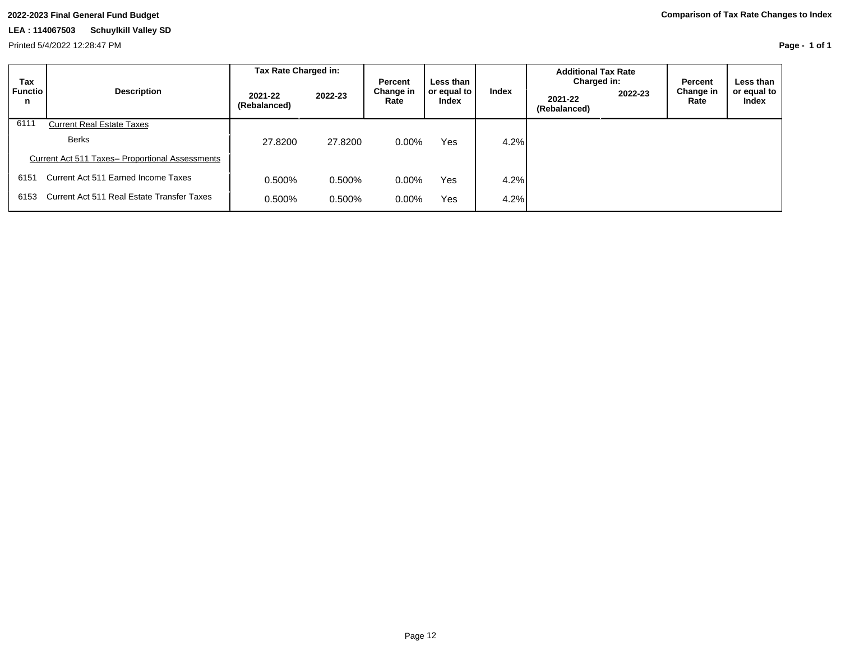Printed 5/4/2022 12:28:47 PM

**Page - 1 of 1**

| Tax                 |                                                        | Tax Rate Charged in:    |         | <b>Percent</b>    | Less than            |       | <b>Additional Tax Rate</b><br>Charged in: |         | Percent           | Less than I                 |
|---------------------|--------------------------------------------------------|-------------------------|---------|-------------------|----------------------|-------|-------------------------------------------|---------|-------------------|-----------------------------|
| <b>Functio</b><br>n | <b>Description</b>                                     | 2021-22<br>(Rebalanced) | 2022-23 | Change in<br>Rate | or equal to<br>Index | Index | 2021-22<br>(Rebalanced)                   | 2022-23 | Change in<br>Rate | or equal to<br><b>Index</b> |
| 6111                | <b>Current Real Estate Taxes</b>                       |                         |         |                   |                      |       |                                           |         |                   |                             |
|                     | <b>Berks</b>                                           | 27,8200                 | 27,8200 | $0.00\%$          | <b>Yes</b>           | 4.2%  |                                           |         |                   |                             |
|                     | <b>Current Act 511 Taxes- Proportional Assessments</b> |                         |         |                   |                      |       |                                           |         |                   |                             |
| 6151                | Current Act 511 Earned Income Taxes                    | 0.500%                  | 0.500%  | $0.00\%$          | Yes                  | 4.2%  |                                           |         |                   |                             |
| 6153                | Current Act 511 Real Estate Transfer Taxes             | 0.500%                  | 0.500%  | $0.00\%$          | Yes                  | 4.2%  |                                           |         |                   |                             |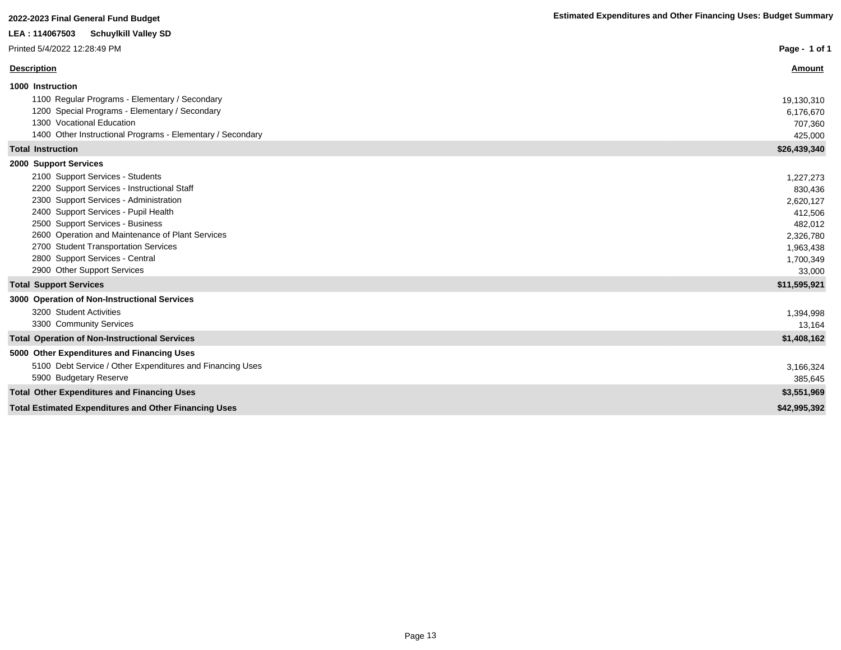| <b>Schuylkill Valley SD</b><br>LEA : 114067503                 |               |
|----------------------------------------------------------------|---------------|
| Printed 5/4/2022 12:28:49 PM                                   | Page - 1 of 1 |
| <b>Description</b>                                             | <b>Amount</b> |
| 1000 Instruction                                               |               |
| 1100 Regular Programs - Elementary / Secondary                 | 19,130,310    |
| 1200 Special Programs - Elementary / Secondary                 | 6,176,670     |
| 1300 Vocational Education                                      | 707,360       |
| 1400 Other Instructional Programs - Elementary / Secondary     | 425,000       |
| <b>Total Instruction</b>                                       | \$26,439,340  |
| 2000 Support Services                                          |               |
| 2100 Support Services - Students                               | 1,227,273     |
| 2200 Support Services - Instructional Staff                    | 830,436       |
| 2300 Support Services - Administration                         | 2,620,127     |
| 2400 Support Services - Pupil Health                           | 412,506       |
| 2500 Support Services - Business                               | 482,012       |
| 2600 Operation and Maintenance of Plant Services               | 2,326,780     |
| 2700 Student Transportation Services                           | 1,963,438     |
| 2800 Support Services - Central<br>2900 Other Support Services | 1,700,349     |
|                                                                | 33,000        |
| <b>Total Support Services</b>                                  | \$11,595,921  |
| 3000 Operation of Non-Instructional Services                   |               |
| 3200 Student Activities                                        | 1,394,998     |
| 3300 Community Services                                        | 13,164        |
| <b>Total Operation of Non-Instructional Services</b>           | \$1,408,162   |
| 5000 Other Expenditures and Financing Uses                     |               |
| 5100 Debt Service / Other Expenditures and Financing Uses      | 3,166,324     |
| 5900 Budgetary Reserve                                         | 385,645       |
| <b>Total Other Expenditures and Financing Uses</b>             | \$3,551,969   |
| <b>Total Estimated Expenditures and Other Financing Uses</b>   | \$42,995,392  |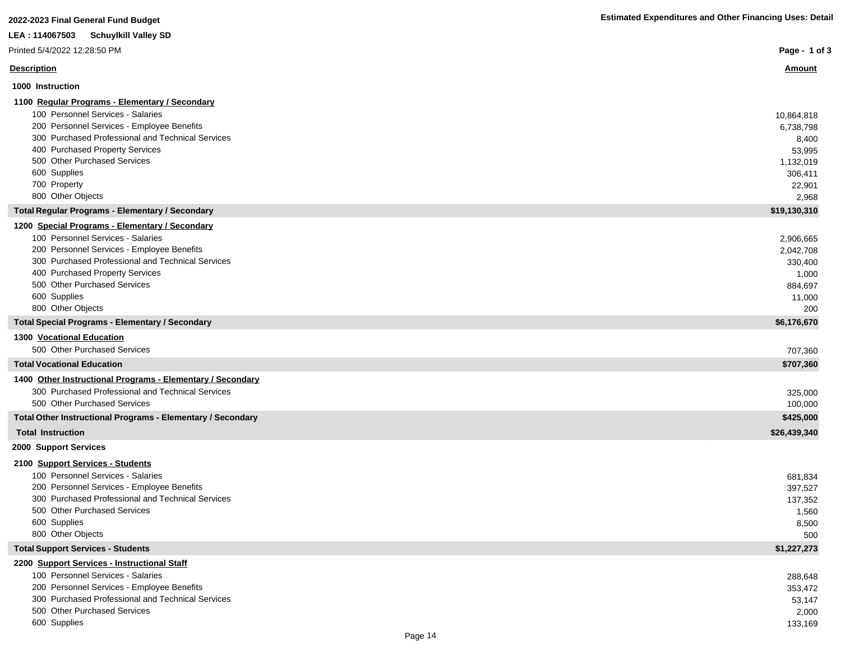| 2022-2023 Final General Fund Budget                                               | <b>Estimated Expenditures and Other Financing Uses: Detail</b> |
|-----------------------------------------------------------------------------------|----------------------------------------------------------------|
| LEA: 114067503 Schuylkill Valley SD                                               |                                                                |
| Printed 5/4/2022 12:28:50 PM                                                      | Page - 1 of $3$                                                |
| <b>Description</b>                                                                | <u>Amount</u>                                                  |
| 1000 Instruction                                                                  |                                                                |
| 1100 Regular Programs - Elementary / Secondary                                    |                                                                |
| 100 Personnel Services - Salaries                                                 | 10,864,818                                                     |
| 200 Personnel Services - Employee Benefits                                        | 6,738,798                                                      |
| 300 Purchased Professional and Technical Services                                 | 8,400                                                          |
| 400 Purchased Property Services                                                   | 53,995                                                         |
| 500 Other Purchased Services                                                      | 1,132,019                                                      |
| 600 Supplies<br>700 Property                                                      | 306,411                                                        |
| 800 Other Objects                                                                 | 22,901<br>2,968                                                |
| <b>Total Regular Programs - Elementary / Secondary</b>                            | \$19,130,310                                                   |
| 1200 Special Programs - Elementary / Secondary                                    |                                                                |
| 100 Personnel Services - Salaries                                                 | 2,906,665                                                      |
| 200 Personnel Services - Employee Benefits                                        | 2,042,708                                                      |
| 300 Purchased Professional and Technical Services                                 | 330,400                                                        |
| 400 Purchased Property Services                                                   | 1,000                                                          |
| 500 Other Purchased Services                                                      | 884,697                                                        |
| 600 Supplies                                                                      | 11,000                                                         |
| 800 Other Objects                                                                 | 200                                                            |
| <b>Total Special Programs - Elementary / Secondary</b>                            | \$6,176,670                                                    |
| 1300 Vocational Education                                                         |                                                                |
| 500 Other Purchased Services                                                      | 707,360                                                        |
| <b>Total Vocational Education</b>                                                 | \$707,360                                                      |
| 1400 Other Instructional Programs - Elementary / Secondary                        |                                                                |
| 300 Purchased Professional and Technical Services                                 | 325,000                                                        |
| 500 Other Purchased Services                                                      | 100,000                                                        |
| Total Other Instructional Programs - Elementary / Secondary                       | \$425,000                                                      |
| <b>Total Instruction</b>                                                          | \$26,439,340                                                   |
| 2000 Support Services                                                             |                                                                |
| 2100 Support Services - Students                                                  |                                                                |
| 100 Personnel Services - Salaries                                                 | 681,834                                                        |
| 200 Personnel Services - Employee Benefits                                        | 397,527                                                        |
| 300 Purchased Professional and Technical Services<br>500 Other Purchased Services | 137,352                                                        |
| 600 Supplies                                                                      | 1,560                                                          |
| 800 Other Objects                                                                 | 8,500<br>500                                                   |
| <b>Total Support Services - Students</b>                                          | \$1,227,273                                                    |
| 2200 Support Services - Instructional Staff                                       |                                                                |
| 100 Personnel Services - Salaries                                                 | 288,648                                                        |
| 200 Personnel Services - Employee Benefits                                        | 353,472                                                        |
| 300 Purchased Professional and Technical Services                                 | 53,147                                                         |
| 500 Other Purchased Services                                                      | 2,000                                                          |
| 600 Supplies                                                                      | 133,169                                                        |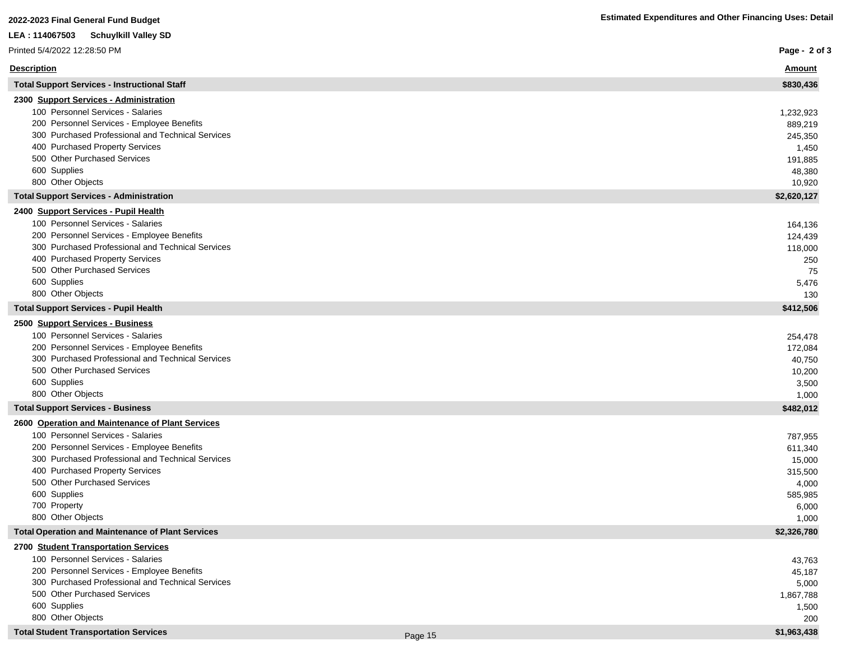| Printed 5/4/2022 12:28:50 PM                                                                                                                                                                                                                                                                                     |         | Page - 2 of 3                                                                 |
|------------------------------------------------------------------------------------------------------------------------------------------------------------------------------------------------------------------------------------------------------------------------------------------------------------------|---------|-------------------------------------------------------------------------------|
| <u>Description</u>                                                                                                                                                                                                                                                                                               |         | <b>Amount</b>                                                                 |
| <b>Total Support Services - Instructional Staff</b>                                                                                                                                                                                                                                                              |         | \$830,436                                                                     |
| 2300 Support Services - Administration<br>100 Personnel Services - Salaries<br>200 Personnel Services - Employee Benefits<br>300 Purchased Professional and Technical Services                                                                                                                                   |         | 1,232,923<br>889,219<br>245,350                                               |
| 400 Purchased Property Services<br>500 Other Purchased Services<br>600 Supplies<br>800 Other Objects                                                                                                                                                                                                             |         | 1,450<br>191,885<br>48,380<br>10,920                                          |
| <b>Total Support Services - Administration</b>                                                                                                                                                                                                                                                                   |         | \$2,620,127                                                                   |
| 2400 Support Services - Pupil Health<br>100 Personnel Services - Salaries<br>200 Personnel Services - Employee Benefits<br>300 Purchased Professional and Technical Services<br>400 Purchased Property Services<br>500 Other Purchased Services<br>600 Supplies<br>800 Other Objects                             |         | 164,136<br>124,439<br>118,000<br>250<br>75<br>5,476<br>130                    |
| <b>Total Support Services - Pupil Health</b>                                                                                                                                                                                                                                                                     |         | \$412,506                                                                     |
| 2500 Support Services - Business<br>100 Personnel Services - Salaries<br>200 Personnel Services - Employee Benefits<br>300 Purchased Professional and Technical Services<br>500 Other Purchased Services<br>600 Supplies<br>800 Other Objects                                                                    |         | 254,478<br>172,084<br>40,750<br>10,200<br>3,500<br>1,000                      |
| <b>Total Support Services - Business</b>                                                                                                                                                                                                                                                                         |         | \$482,012                                                                     |
| 2600 Operation and Maintenance of Plant Services<br>100 Personnel Services - Salaries<br>200 Personnel Services - Employee Benefits<br>300 Purchased Professional and Technical Services<br>400 Purchased Property Services<br>500 Other Purchased Services<br>600 Supplies<br>700 Property<br>800 Other Objects |         | 787,955<br>611,340<br>15,000<br>315,500<br>4,000<br>585,985<br>6,000<br>1,000 |
| <b>Total Operation and Maintenance of Plant Services</b>                                                                                                                                                                                                                                                         |         | \$2,326,780                                                                   |
| 2700 Student Transportation Services<br>100 Personnel Services - Salaries<br>200 Personnel Services - Employee Benefits<br>300 Purchased Professional and Technical Services<br>500 Other Purchased Services<br>600 Supplies<br>800 Other Objects<br><b>Total Student Transportation Services</b>                |         | 43,763<br>45,187<br>5,000<br>1,867,788<br>1,500<br>200                        |
|                                                                                                                                                                                                                                                                                                                  | Page 15 | \$1,963,438                                                                   |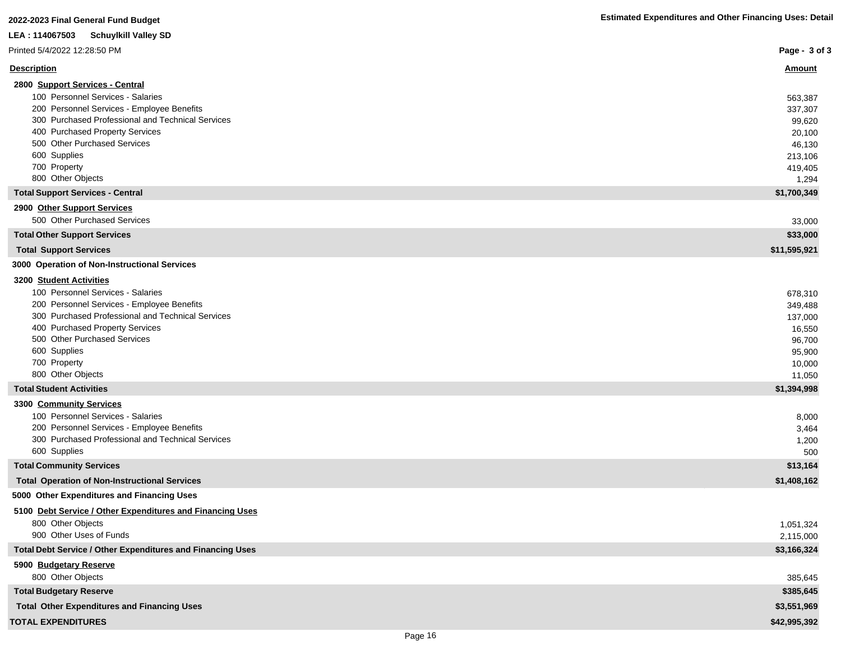| LEA: 114067503<br>Schuylkill Valley SD                                 |                 |
|------------------------------------------------------------------------|-----------------|
| Printed 5/4/2022 12:28:50 PM                                           | Page - 3 of 3   |
| <b>Description</b>                                                     | <u>Amount</u>   |
| 2800 Support Services - Central                                        |                 |
| 100 Personnel Services - Salaries                                      | 563,387         |
| 200 Personnel Services - Employee Benefits                             | 337,307         |
| 300 Purchased Professional and Technical Services                      | 99,620          |
| 400 Purchased Property Services                                        | 20,100          |
| 500 Other Purchased Services                                           | 46,130          |
| 600 Supplies                                                           | 213,106         |
| 700 Property                                                           | 419,405         |
| 800 Other Objects                                                      | 1,294           |
| <b>Total Support Services - Central</b><br>2900 Other Support Services | \$1,700,349     |
| 500 Other Purchased Services                                           | 33,000          |
| <b>Total Other Support Services</b>                                    | \$33,000        |
| <b>Total Support Services</b>                                          | \$11,595,921    |
| 3000 Operation of Non-Instructional Services                           |                 |
| <b>3200 Student Activities</b>                                         |                 |
| 100 Personnel Services - Salaries                                      | 678,310         |
| 200 Personnel Services - Employee Benefits                             | 349,488         |
| 300 Purchased Professional and Technical Services                      | 137,000         |
| 400 Purchased Property Services                                        | 16,550          |
| 500 Other Purchased Services                                           | 96,700          |
| 600 Supplies                                                           | 95,900          |
| 700 Property                                                           | 10,000          |
| 800 Other Objects                                                      | 11,050          |
| <b>Total Student Activities</b>                                        | \$1,394,998     |
| 3300 Community Services                                                |                 |
| 100 Personnel Services - Salaries                                      | 8,000           |
| 200 Personnel Services - Employee Benefits                             | 3,464           |
| 300 Purchased Professional and Technical Services<br>600 Supplies      | 1,200           |
| <b>Total Community Services</b>                                        | 500<br>\$13,164 |
| <b>Total Operation of Non-Instructional Services</b>                   | \$1,408,162     |
| 5000 Other Expenditures and Financing Uses                             |                 |
| 5100 Debt Service / Other Expenditures and Financing Uses              |                 |
| 800 Other Objects                                                      | 1,051,324       |
| 900 Other Uses of Funds                                                | 2,115,000       |
| Total Debt Service / Other Expenditures and Financing Uses             | \$3,166,324     |
| 5900 Budgetary Reserve                                                 |                 |
| 800 Other Objects                                                      | 385,645         |
| <b>Total Budgetary Reserve</b>                                         | \$385,645       |
| <b>Total Other Expenditures and Financing Uses</b>                     | \$3,551,969     |

### **TOTAL EXPENDITURES \$42,995,392**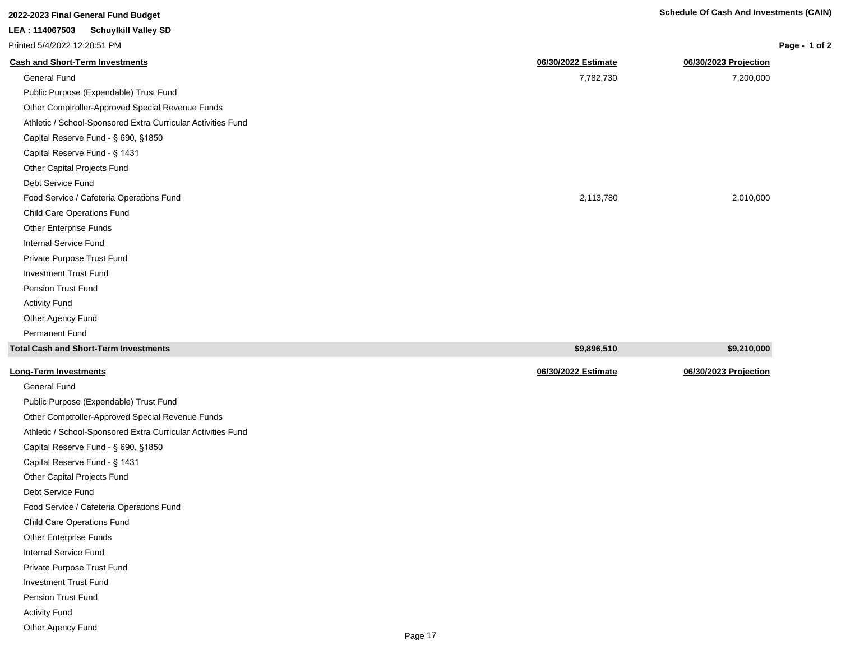| 2022-2023 Final General Fund Budget                          |                     | <b>Schedule Of Cash And Investments (CAIN)</b> |
|--------------------------------------------------------------|---------------------|------------------------------------------------|
| LEA: 114067503<br><b>Schuylkill Valley SD</b>                |                     |                                                |
| Printed 5/4/2022 12:28:51 PM                                 |                     | Page - 1 of 2                                  |
| <b>Cash and Short-Term Investments</b>                       | 06/30/2022 Estimate | 06/30/2023 Projection                          |
| General Fund                                                 | 7,782,730           | 7,200,000                                      |
| Public Purpose (Expendable) Trust Fund                       |                     |                                                |
| Other Comptroller-Approved Special Revenue Funds             |                     |                                                |
| Athletic / School-Sponsored Extra Curricular Activities Fund |                     |                                                |
| Capital Reserve Fund - § 690, §1850                          |                     |                                                |
| Capital Reserve Fund - § 1431                                |                     |                                                |
| Other Capital Projects Fund                                  |                     |                                                |
| Debt Service Fund                                            |                     |                                                |
| Food Service / Cafeteria Operations Fund                     | 2,113,780           | 2,010,000                                      |
| <b>Child Care Operations Fund</b>                            |                     |                                                |
| Other Enterprise Funds                                       |                     |                                                |
| Internal Service Fund                                        |                     |                                                |
| Private Purpose Trust Fund                                   |                     |                                                |
| <b>Investment Trust Fund</b>                                 |                     |                                                |
| Pension Trust Fund                                           |                     |                                                |
| <b>Activity Fund</b>                                         |                     |                                                |
| Other Agency Fund                                            |                     |                                                |

| Total Cash and Short-Term Investments  | \$9,896,510         | \$9,210,000           |
|----------------------------------------|---------------------|-----------------------|
| Long-Term Investments                  | 06/30/2022 Estimate | 06/30/2023 Projection |
| General Fund                           |                     |                       |
| Public Purpose (Expendable) Trust Fund |                     |                       |

Other Comptroller-Approved Special Revenue Funds Athletic / School-Sponsored Extra Curricular Activities Fund Capital Reserve Fund - § 690, §1850 Capital Reserve Fund - § 1431 Other Capital Projects Fund Debt Service Fund

Food Service / Cafeteria Operations Fund

Child Care Operations Fund

Other Enterprise Funds

Permanent Fund

Internal Service Fund

Private Purpose Trust Fund

Investment Trust Fund

Pension Trust Fund

Activity Fund

Other Agency Fund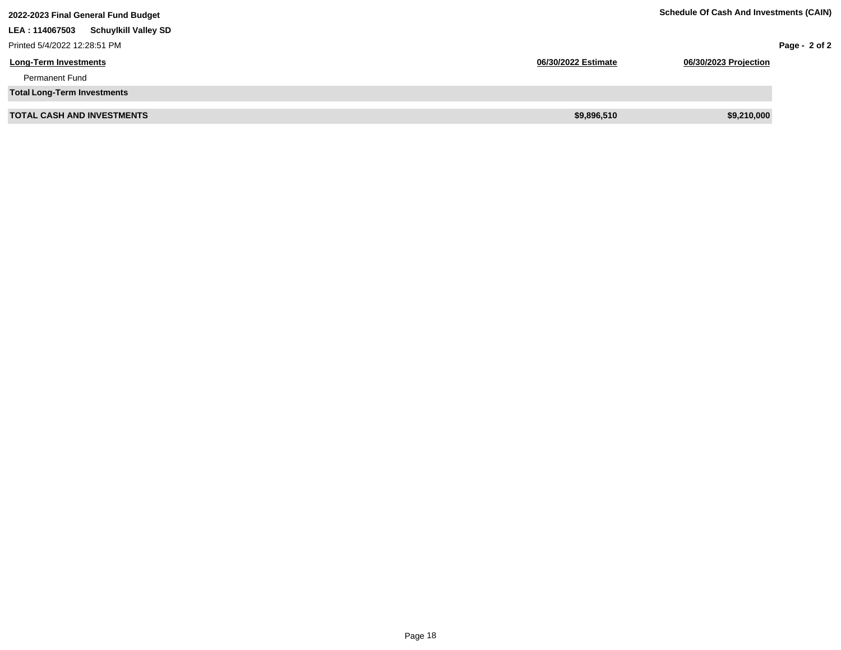| 2022-2023 Final General Fund Budget            | <b>Schedule Of Cash And Investments (CAIN)</b> |                       |               |
|------------------------------------------------|------------------------------------------------|-----------------------|---------------|
| <b>Schuylkill Valley SD</b><br>LEA : 114067503 |                                                |                       |               |
| Printed 5/4/2022 12:28:51 PM                   |                                                |                       | Page - 2 of 2 |
| <b>Long-Term Investments</b>                   | 06/30/2022 Estimate                            | 06/30/2023 Projection |               |
| <b>Permanent Fund</b>                          |                                                |                       |               |
| <b>Total Long-Term Investments</b>             |                                                |                       |               |
| <b>TOTAL CASH AND INVESTMENTS</b>              | \$9,896,510                                    | \$9,210,000           |               |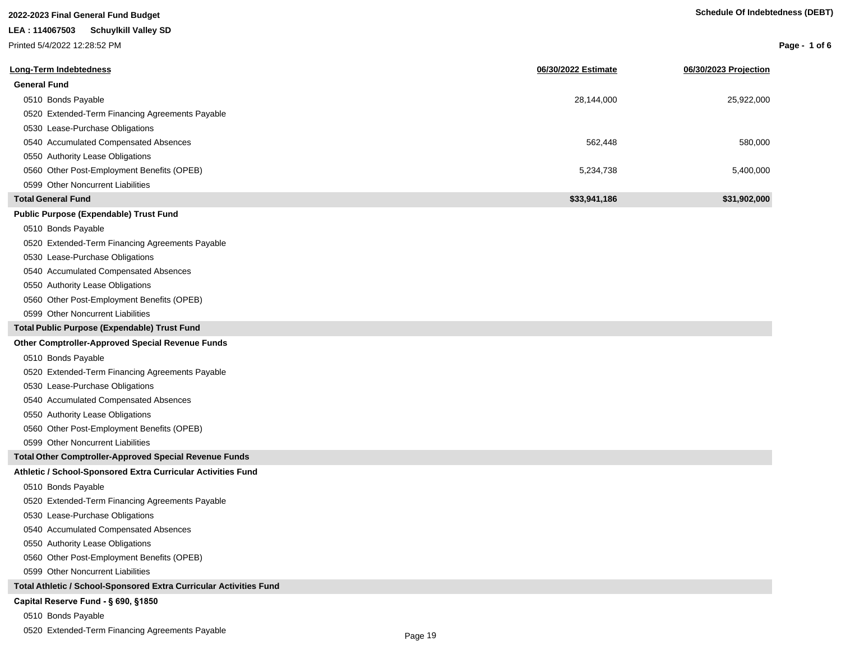| <b>Schedule Of Indebtedness (DEBT)</b> |  |  |
|----------------------------------------|--|--|
|                                        |  |  |

| 2022-2023 Final General Fund Budget                                |                     | <b>Schedule Of Indebtedness (DEBT)</b> |                 |
|--------------------------------------------------------------------|---------------------|----------------------------------------|-----------------|
| LEA: 114067503<br><b>Schuylkill Valley SD</b>                      |                     |                                        |                 |
| Printed 5/4/2022 12:28:52 PM                                       |                     |                                        | Page - 1 of $6$ |
|                                                                    |                     |                                        |                 |
| <b>Long-Term Indebtedness</b>                                      | 06/30/2022 Estimate | 06/30/2023 Projection                  |                 |
| <b>General Fund</b>                                                |                     |                                        |                 |
| 0510 Bonds Payable                                                 | 28,144,000          | 25,922,000                             |                 |
| 0520 Extended-Term Financing Agreements Payable                    |                     |                                        |                 |
| 0530 Lease-Purchase Obligations                                    |                     |                                        |                 |
| 0540 Accumulated Compensated Absences                              | 562,448             | 580,000                                |                 |
| 0550 Authority Lease Obligations                                   |                     |                                        |                 |
| 0560 Other Post-Employment Benefits (OPEB)                         | 5,234,738           | 5,400,000                              |                 |
| 0599 Other Noncurrent Liabilities                                  |                     |                                        |                 |
| <b>Total General Fund</b>                                          | \$33,941,186        | \$31,902,000                           |                 |
| Public Purpose (Expendable) Trust Fund                             |                     |                                        |                 |
| 0510 Bonds Payable                                                 |                     |                                        |                 |
| 0520 Extended-Term Financing Agreements Payable                    |                     |                                        |                 |
| 0530 Lease-Purchase Obligations                                    |                     |                                        |                 |
| 0540 Accumulated Compensated Absences                              |                     |                                        |                 |
| 0550 Authority Lease Obligations                                   |                     |                                        |                 |
| 0560 Other Post-Employment Benefits (OPEB)                         |                     |                                        |                 |
| 0599 Other Noncurrent Liabilities                                  |                     |                                        |                 |
| Total Public Purpose (Expendable) Trust Fund                       |                     |                                        |                 |
| <b>Other Comptroller-Approved Special Revenue Funds</b>            |                     |                                        |                 |
| 0510 Bonds Payable                                                 |                     |                                        |                 |
| 0520 Extended-Term Financing Agreements Payable                    |                     |                                        |                 |
| 0530 Lease-Purchase Obligations                                    |                     |                                        |                 |
| 0540 Accumulated Compensated Absences                              |                     |                                        |                 |
| 0550 Authority Lease Obligations                                   |                     |                                        |                 |
| 0560 Other Post-Employment Benefits (OPEB)                         |                     |                                        |                 |
| 0599 Other Noncurrent Liabilities                                  |                     |                                        |                 |
| <b>Total Other Comptroller-Approved Special Revenue Funds</b>      |                     |                                        |                 |
| Athletic / School-Sponsored Extra Curricular Activities Fund       |                     |                                        |                 |
| 0510 Bonds Payable                                                 |                     |                                        |                 |
| 0520 Extended-Term Financing Agreements Payable                    |                     |                                        |                 |
| 0530 Lease-Purchase Obligations                                    |                     |                                        |                 |
| 0540 Accumulated Compensated Absences                              |                     |                                        |                 |
| 0550 Authority Lease Obligations                                   |                     |                                        |                 |
| 0560 Other Post-Employment Benefits (OPEB)                         |                     |                                        |                 |
| 0599 Other Noncurrent Liabilities                                  |                     |                                        |                 |
| Total Athletic / School-Sponsored Extra Curricular Activities Fund |                     |                                        |                 |
| Capital Reserve Fund - § 690, §1850                                |                     |                                        |                 |
| 0510 Bonds Payable                                                 |                     |                                        |                 |

0520 Extended-Term Financing Agreements Payable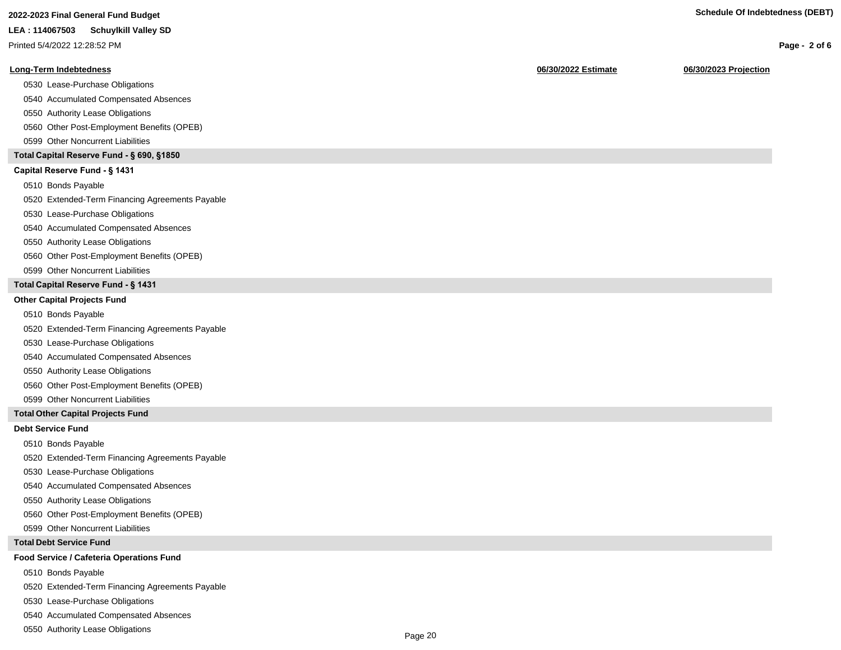| 2022-2023 Final General Fund Budget |
|-------------------------------------|
|                                     |

Printed 5/4/2022 12:28:52 PM

### **Long-Term Indebtedness 06/30/2022 Estimate 06/30/2023 Projection**

0530 Lease-Purchase Obligations

0540 Accumulated Compensated Absences

0550 Authority Lease Obligations

0560 Other Post-Employment Benefits (OPEB)

0599 Other Noncurrent Liabilities

### **Total Capital Reserve Fund - § 690, §1850**

### Capital Reserve Fund - § 1431

0510 Bonds Payable

0520 Extended-Term Financing Agreements Payable

0530 Lease-Purchase Obligations

0540 Accumulated Compensated Absences

### 0550 Authority Lease Obligations

0560 Other Post-Employment Benefits (OPEB)

0599 Other Noncurrent Liabilities

### **Total Capital Reserve Fund - § 1431**

### **Other Capital Projects Fund**

0510 Bonds Payable

0520 Extended-Term Financing Agreements Payable

0530 Lease-Purchase Obligations

0540 Accumulated Compensated Absences

0550 Authority Lease Obligations

0560 Other Post-Employment Benefits (OPEB)

0599 Other Noncurrent Liabilities

### **Total Other Capital Projects Fund**

### **Debt Service Fund**

0510 Bonds Payable

0520 Extended-Term Financing Agreements Payable

0530 Lease-Purchase Obligations

0540 Accumulated Compensated Absences

0550 Authority Lease Obligations

0560 Other Post-Employment Benefits (OPEB)

0599 Other Noncurrent Liabilities

### **Total Debt Service Fund**

### **Food Service / Cafeteria Operations Fund**

0510 Bonds Payable

0520 Extended-Term Financing Agreements Payable

0530 Lease-Purchase Obligations

0540 Accumulated Compensated Absences

0550 Authority Lease Obligations

**Page - 2 of 6**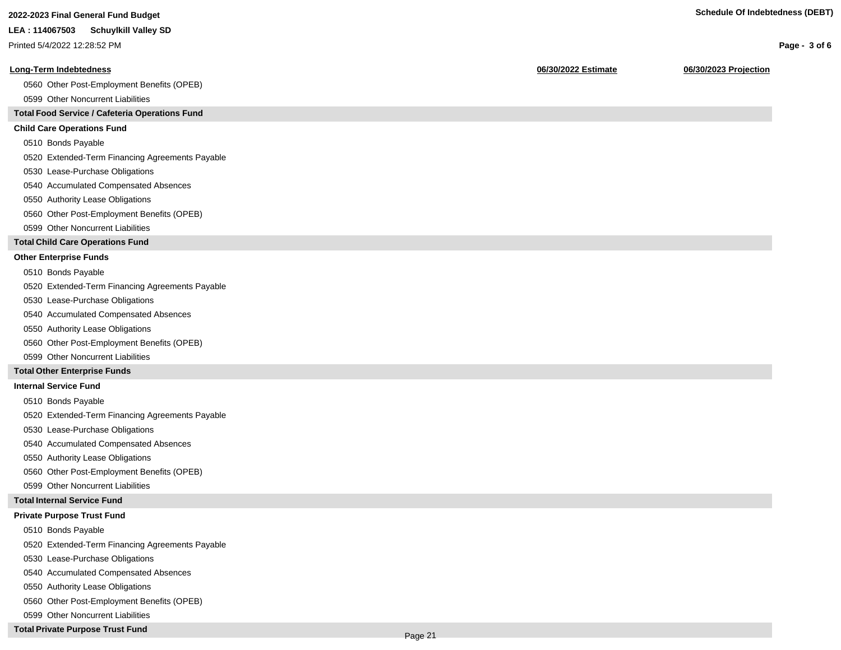**Page - 3 of 6**

### **LEA : 114067503 Schuylkill Valley SD**

Printed 5/4/2022 12:28:52 PM

### **Long-Term Indebtedness 06/30/2022 Estimate 06/30/2023 Projection**

0560 Other Post-Employment Benefits (OPEB)

0599 Other Noncurrent Liabilities

### **Total Food Service / Cafeteria Operations Fund**

### **Child Care Operations Fund**

0510 Bonds Payable

0520 Extended-Term Financing Agreements Payable

- 0530 Lease-Purchase Obligations
- 0540 Accumulated Compensated Absences
- 0550 Authority Lease Obligations
- 0560 Other Post-Employment Benefits (OPEB)
- 0599 Other Noncurrent Liabilities

### **Total Child Care Operations Fund**

### **Other Enterprise Funds**

- 0510 Bonds Payable
- 0520 Extended-Term Financing Agreements Payable
- 0530 Lease-Purchase Obligations
- 0540 Accumulated Compensated Absences
- 0550 Authority Lease Obligations
- 0560 Other Post-Employment Benefits (OPEB)
- 0599 Other Noncurrent Liabilities

### **Total Other Enterprise Funds**

### **Internal Service Fund**

- 0510 Bonds Payable
- 0520 Extended-Term Financing Agreements Payable
- 0530 Lease-Purchase Obligations
- 0540 Accumulated Compensated Absences
- 0550 Authority Lease Obligations
- 0560 Other Post-Employment Benefits (OPEB)
- 0599 Other Noncurrent Liabilities

### **Total Internal Service Fund**

### **Private Purpose Trust Fund**

- 0510 Bonds Payable
- 0520 Extended-Term Financing Agreements Payable
- 0530 Lease-Purchase Obligations
- 0540 Accumulated Compensated Absences
- 0550 Authority Lease Obligations
- 0560 Other Post-Employment Benefits (OPEB)
- 0599 Other Noncurrent Liabilities

### **Total Private Purpose Trust Fund**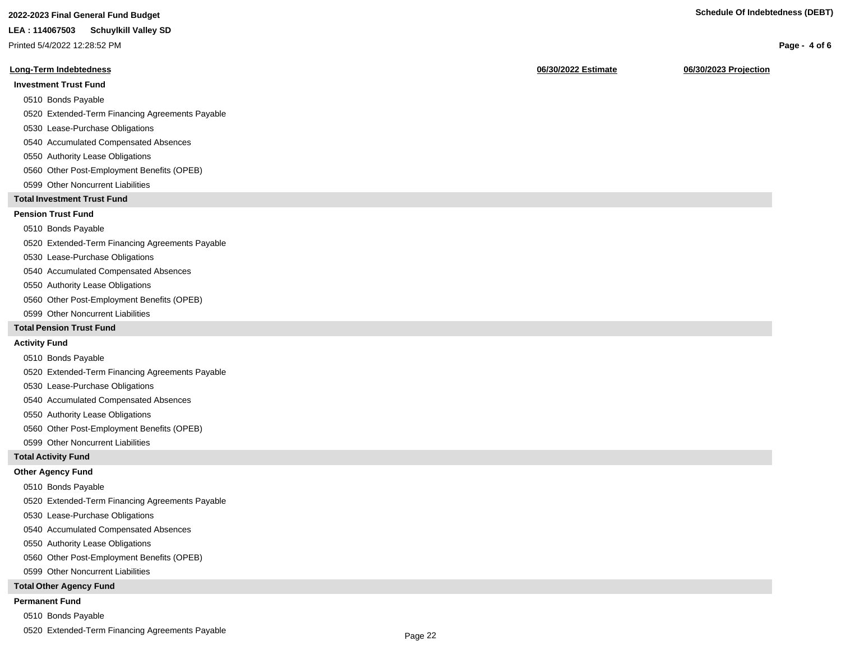### **2022-2023 Final General Fund Budget Schedule Of Indebtedness (DEBT)**

### **LEA : 114067503 Schuylkill Valley SD**

Printed 5/4/2022 12:28:52 PM

### **Long-Term Indebtedness 06/30/2022 Estimate 06/30/2023 Projection**

### **Investment Trust Fund**

- 0510 Bonds Payable
- 0520 Extended-Term Financing Agreements Payable
- 0530 Lease-Purchase Obligations
- 0540 Accumulated Compensated Absences
- 0550 Authority Lease Obligations
- 0560 Other Post-Employment Benefits (OPEB)
- 0599 Other Noncurrent Liabilities

### **Total Investment Trust Fund**

### **Pension Trust Fund**

### 0510 Bonds Payable

- 0520 Extended-Term Financing Agreements Payable
- 0530 Lease-Purchase Obligations
- 0540 Accumulated Compensated Absences
- 0550 Authority Lease Obligations
- 0560 Other Post-Employment Benefits (OPEB)
- 0599 Other Noncurrent Liabilities

### **Total Pension Trust Fund**

### **Activity Fund**

- 0510 Bonds Payable
- 0520 Extended-Term Financing Agreements Payable
- 0530 Lease-Purchase Obligations
- 0540 Accumulated Compensated Absences
- 0550 Authority Lease Obligations
- 0560 Other Post-Employment Benefits (OPEB)
- 0599 Other Noncurrent Liabilities

### **Total Activity Fund**

### **Other Agency Fund**

- 0510 Bonds Payable
- 0520 Extended-Term Financing Agreements Payable
- 0530 Lease-Purchase Obligations
- 0540 Accumulated Compensated Absences
- 0550 Authority Lease Obligations
- 0560 Other Post-Employment Benefits (OPEB)
- 0599 Other Noncurrent Liabilities

### **Total Other Agency Fund**

### **Permanent Fund**

- 0510 Bonds Payable
- 0520 Extended-Term Financing Agreements Payable

**Page - 4 of 6**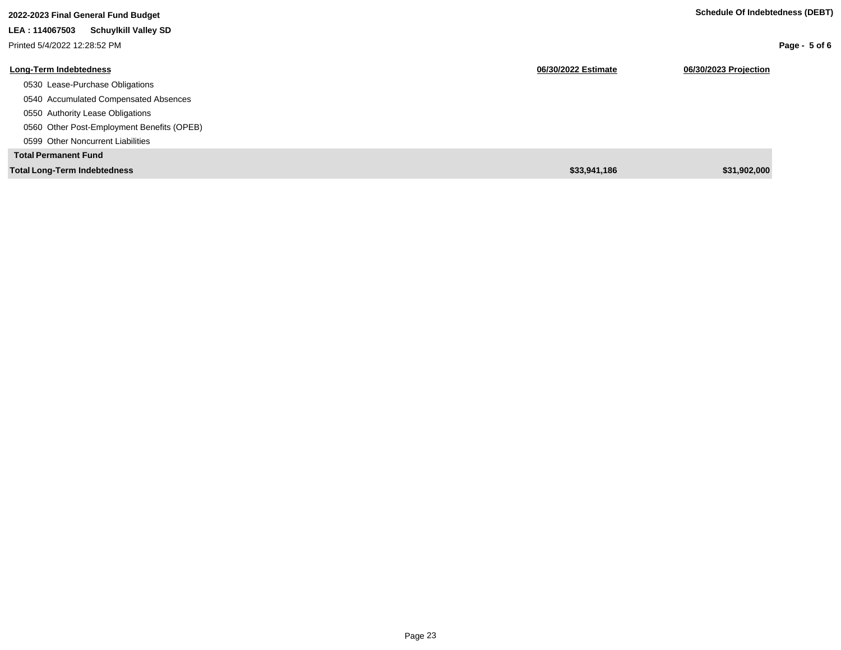| 2022-2023 Final General Fund Budget           |                     | Schedule Of Indebtedness (DEBT) |
|-----------------------------------------------|---------------------|---------------------------------|
| <b>Schuylkill Valley SD</b><br>LEA: 114067503 |                     |                                 |
| Printed 5/4/2022 12:28:52 PM                  |                     | Page - $5$ of 6                 |
| <b>Long-Term Indebtedness</b>                 | 06/30/2022 Estimate | 06/30/2023 Projection           |
| 0530 Lease-Purchase Obligations               |                     |                                 |
| 0540 Accumulated Compensated Absences         |                     |                                 |
| 0550 Authority Lease Obligations              |                     |                                 |
| 0560 Other Post-Employment Benefits (OPEB)    |                     |                                 |
| 0599 Other Noncurrent Liabilities             |                     |                                 |
| <b>Total Permanent Fund</b>                   |                     |                                 |
| <b>Total Long-Term Indebtedness</b>           | \$33,941,186        | \$31,902,000                    |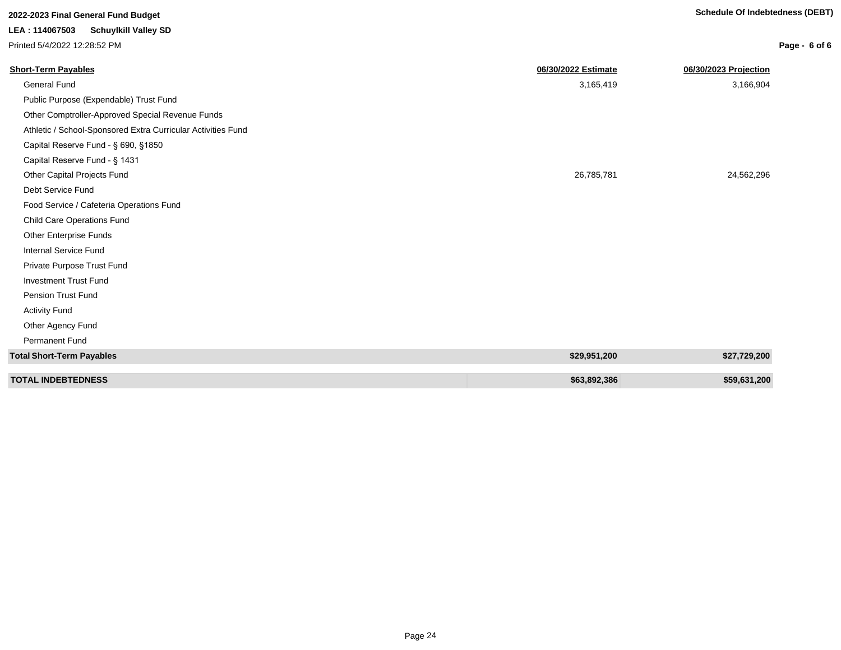# **2022-2023 Final General Fund Budget Schedule Of Indebtedness (DEBT)**

## **LEA : 114067503 Schuylkill Valley SD**

Printed 5/4/2022 12:28:52 PM

| <b>Short-Term Payables</b>                                   | 06/30/2022 Estimate | 06/30/2023 Projection |
|--------------------------------------------------------------|---------------------|-----------------------|
| General Fund                                                 | 3,165,419           | 3,166,904             |
| Public Purpose (Expendable) Trust Fund                       |                     |                       |
| Other Comptroller-Approved Special Revenue Funds             |                     |                       |
| Athletic / School-Sponsored Extra Curricular Activities Fund |                     |                       |
| Capital Reserve Fund - § 690, §1850                          |                     |                       |
| Capital Reserve Fund - § 1431                                |                     |                       |
| Other Capital Projects Fund                                  | 26,785,781          | 24,562,296            |
| Debt Service Fund                                            |                     |                       |
| Food Service / Cafeteria Operations Fund                     |                     |                       |
| <b>Child Care Operations Fund</b>                            |                     |                       |
| Other Enterprise Funds                                       |                     |                       |
| <b>Internal Service Fund</b>                                 |                     |                       |
| Private Purpose Trust Fund                                   |                     |                       |
| <b>Investment Trust Fund</b>                                 |                     |                       |
| Pension Trust Fund                                           |                     |                       |
| <b>Activity Fund</b>                                         |                     |                       |
| Other Agency Fund                                            |                     |                       |
| <b>Permanent Fund</b>                                        |                     |                       |
| <b>Total Short-Term Payables</b>                             | \$29,951,200        | \$27,729,200          |
|                                                              |                     |                       |
| <b>TOTAL INDEBTEDNESS</b>                                    | \$63,892,386        | \$59,631,200          |